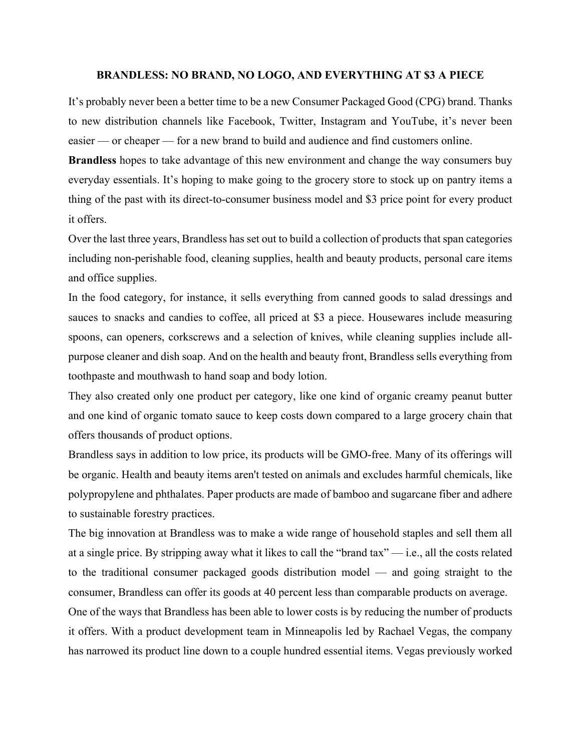## **BRANDLESS: NO BRAND, NO LOGO, AND EVERYTHING AT \$3 A PIECE**

It's probably never been a better time to be a new Consumer Packaged Good (CPG) brand. Thanks to new distribution channels like Facebook, Twitter, Instagram and YouTube, it's never been easier — or cheaper — for a new brand to build and audience and find customers online.

**Brandless** hopes to take advantage of this new environment and change the way consumers buy everyday essentials. It's hoping to make going to the grocery store to stock up on pantry items a thing of the past with its direct-to-consumer business model and \$3 price point for every product it offers.

Over the last three years, Brandless has set out to build a collection of products that span categories including non-perishable food, cleaning supplies, health and beauty products, personal care items and office supplies.

In the food category, for instance, it sells everything from canned goods to salad dressings and sauces to snacks and candies to coffee, all priced at \$3 a piece. Housewares include measuring spoons, can openers, corkscrews and a selection of knives, while cleaning supplies include allpurpose cleaner and dish soap. And on the health and beauty front, Brandless sells everything from toothpaste and mouthwash to hand soap and body lotion.

They also created only one product per category, like one kind of organic creamy peanut butter and one kind of organic tomato sauce to keep costs down compared to a large grocery chain that offers thousands of product options.

Brandless says in addition to low price, its products will be GMO-free. Many of its offerings will be organic. Health and beauty items aren't tested on animals and excludes harmful chemicals, like polypropylene and phthalates. Paper products are made of bamboo and sugarcane fiber and adhere to sustainable forestry practices.

The big innovation at Brandless was to make a wide range of household staples and sell them all at a single price. By stripping away what it likes to call the "brand tax" — i.e., all the costs related to the traditional consumer packaged goods distribution model — and going straight to the consumer, Brandless can offer its goods at 40 percent less than comparable products on average. One of the ways that Brandless has been able to lower costs is by reducing the number of products

it offers. With a product development team in Minneapolis led by Rachael Vegas, the company has narrowed its product line down to a couple hundred essential items. Vegas previously worked